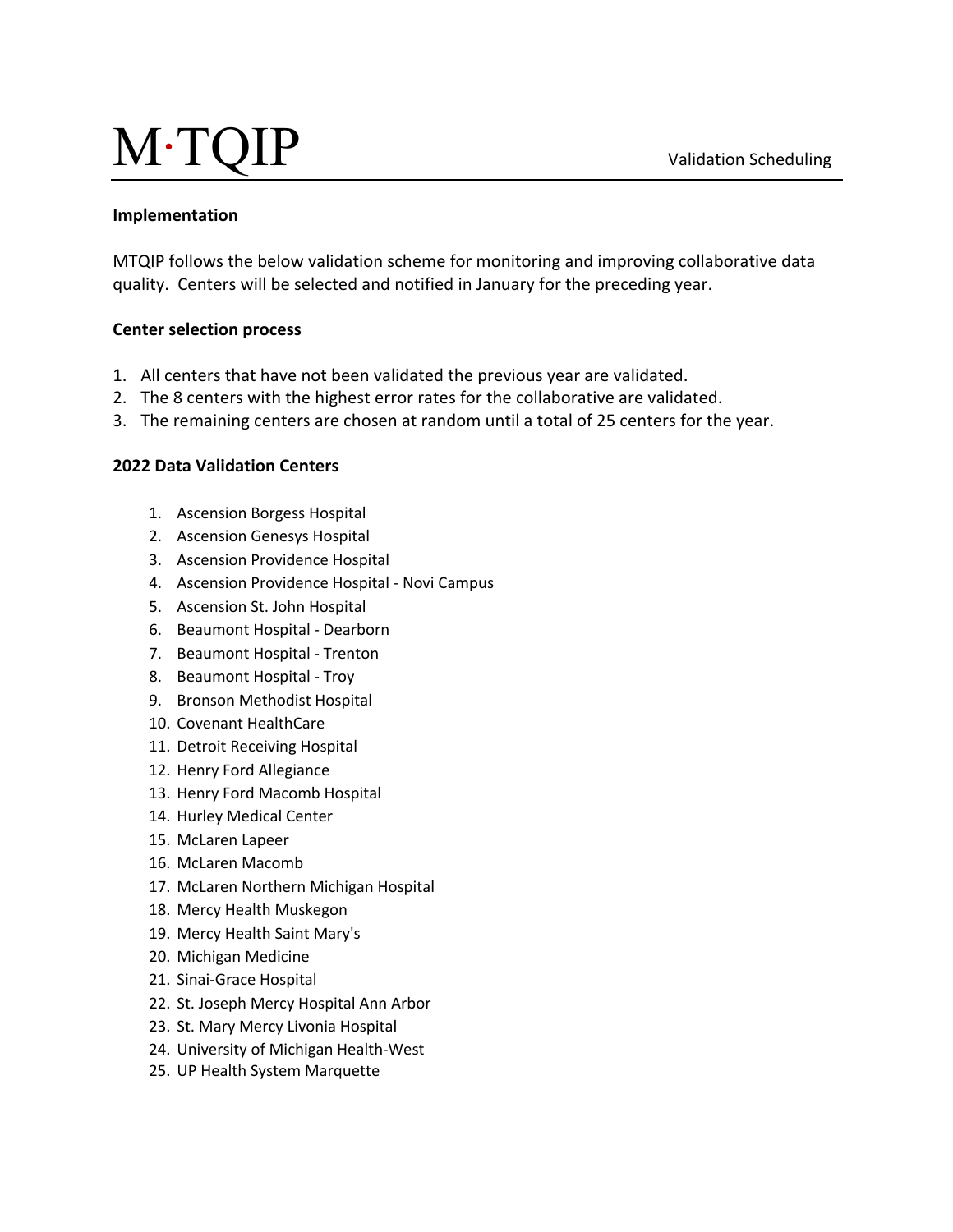# M∙TQIP

#### **Implementation**

MTQIP follows the below validation scheme for monitoring and improving collaborative data quality. Centers will be selected and notified in January for the preceding year.

## **Center selection process**

- 1. All centers that have not been validated the previous year are validated.
- 2. The 8 centers with the highest error rates for the collaborative are validated.
- 3. The remaining centers are chosen at random until a total of 25 centers for the year.

#### **2022 Data Validation Centers**

- 1. Ascension Borgess Hospital
- 2. Ascension Genesys Hospital
- 3. Ascension Providence Hospital
- 4. Ascension Providence Hospital Novi Campus
- 5. Ascension St. John Hospital
- 6. Beaumont Hospital Dearborn
- 7. Beaumont Hospital Trenton
- 8. Beaumont Hospital Troy
- 9. Bronson Methodist Hospital
- 10. Covenant HealthCare
- 11. Detroit Receiving Hospital
- 12. Henry Ford Allegiance
- 13. Henry Ford Macomb Hospital
- 14. Hurley Medical Center
- 15. McLaren Lapeer
- 16. McLaren Macomb
- 17. McLaren Northern Michigan Hospital
- 18. Mercy Health Muskegon
- 19. Mercy Health Saint Mary's
- 20. Michigan Medicine
- 21. Sinai-Grace Hospital
- 22. St. Joseph Mercy Hospital Ann Arbor
- 23. St. Mary Mercy Livonia Hospital
- 24. University of Michigan Health-West
- 25. UP Health System Marquette